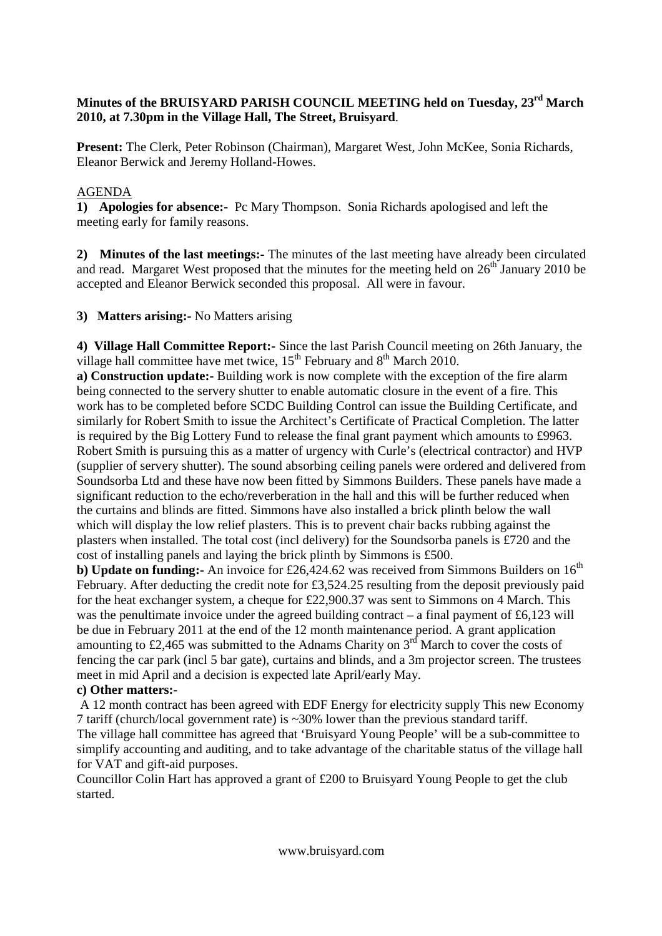## **Minutes of the BRUISYARD PARISH COUNCIL MEETING held on Tuesday, 23rd March 2010, at 7.30pm in the Village Hall, The Street, Bruisyard**.

**Present:** The Clerk, Peter Robinson (Chairman), Margaret West, John McKee, Sonia Richards, Eleanor Berwick and Jeremy Holland-Howes.

## AGENDA

**1) Apologies for absence:-** Pc Mary Thompson. Sonia Richards apologised and left the meeting early for family reasons.

**2) Minutes of the last meetings:-** The minutes of the last meeting have already been circulated and read. Margaret West proposed that the minutes for the meeting held on  $26<sup>th</sup>$  January 2010 be accepted and Eleanor Berwick seconded this proposal. All were in favour.

**3) Matters arising:-** No Matters arising

**4) Village Hall Committee Report:-** Since the last Parish Council meeting on 26th January, the village hall committee have met twice,  $15<sup>th</sup>$  February and  $8<sup>th</sup>$  March 2010.

**a) Construction update:-** Building work is now complete with the exception of the fire alarm being connected to the servery shutter to enable automatic closure in the event of a fire. This work has to be completed before SCDC Building Control can issue the Building Certificate, and similarly for Robert Smith to issue the Architect's Certificate of Practical Completion. The latter is required by the Big Lottery Fund to release the final grant payment which amounts to £9963. Robert Smith is pursuing this as a matter of urgency with Curle's (electrical contractor) and HVP (supplier of servery shutter). The sound absorbing ceiling panels were ordered and delivered from Soundsorba Ltd and these have now been fitted by Simmons Builders. These panels have made a significant reduction to the echo/reverberation in the hall and this will be further reduced when the curtains and blinds are fitted. Simmons have also installed a brick plinth below the wall which will display the low relief plasters. This is to prevent chair backs rubbing against the plasters when installed. The total cost (incl delivery) for the Soundsorba panels is £720 and the cost of installing panels and laying the brick plinth by Simmons is £500.

**b) Update on funding:**- An invoice for £26,424.62 was received from Simmons Builders on  $16<sup>th</sup>$ February. After deducting the credit note for £3,524.25 resulting from the deposit previously paid for the heat exchanger system, a cheque for £22,900.37 was sent to Simmons on 4 March. This was the penultimate invoice under the agreed building contract – a final payment of  $\text{\pounds}6,123$  will be due in February 2011 at the end of the 12 month maintenance period. A grant application amounting to £2,465 was submitted to the Adnams Charity on  $3<sup>rd</sup>$  March to cover the costs of fencing the car park (incl 5 bar gate), curtains and blinds, and a 3m projector screen. The trustees meet in mid April and a decision is expected late April/early May.

## **c) Other matters:-**

 A 12 month contract has been agreed with EDF Energy for electricity supply This new Economy 7 tariff (church/local government rate) is ~30% lower than the previous standard tariff. The village hall committee has agreed that 'Bruisyard Young People' will be a sub-committee to simplify accounting and auditing, and to take advantage of the charitable status of the village hall for VAT and gift-aid purposes.

Councillor Colin Hart has approved a grant of £200 to Bruisyard Young People to get the club started.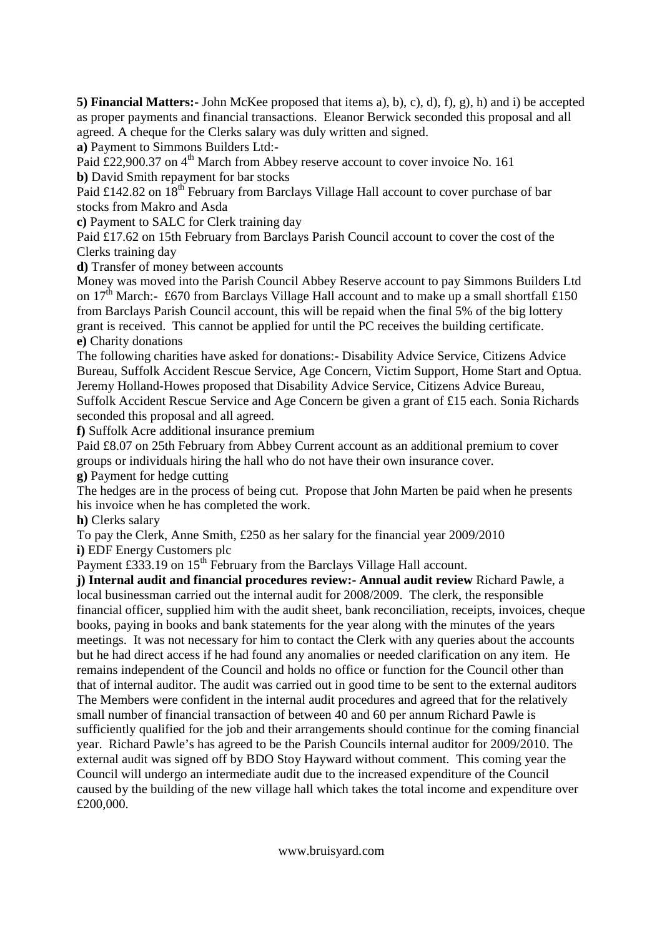**5) Financial Matters:-** John McKee proposed that items a), b), c), d), f), g), h) and i) be accepted as proper payments and financial transactions. Eleanor Berwick seconded this proposal and all agreed. A cheque for the Clerks salary was duly written and signed.

**a)** Payment to Simmons Builders Ltd:-

Paid  $\text{\pounds}22,900.37$  on  $4^{\text{th}}$  March from Abbey reserve account to cover invoice No. 161 **b)** David Smith repayment for bar stocks

Paid £142.82 on 18<sup>th</sup> February from Barclays Village Hall account to cover purchase of bar stocks from Makro and Asda

**c)** Payment to SALC for Clerk training day

Paid £17.62 on 15th February from Barclays Parish Council account to cover the cost of the Clerks training day

**d)** Transfer of money between accounts

Money was moved into the Parish Council Abbey Reserve account to pay Simmons Builders Ltd on  $17<sup>th</sup>$  March:- £670 from Barclays Village Hall account and to make up a small shortfall £150 from Barclays Parish Council account, this will be repaid when the final 5% of the big lottery grant is received. This cannot be applied for until the PC receives the building certificate. **e)** Charity donations

The following charities have asked for donations:- Disability Advice Service, Citizens Advice Bureau, Suffolk Accident Rescue Service, Age Concern, Victim Support, Home Start and Optua. Jeremy Holland-Howes proposed that Disability Advice Service, Citizens Advice Bureau, Suffolk Accident Rescue Service and Age Concern be given a grant of £15 each. Sonia Richards seconded this proposal and all agreed.

**f)** Suffolk Acre additional insurance premium

Paid £8.07 on 25th February from Abbey Current account as an additional premium to cover groups or individuals hiring the hall who do not have their own insurance cover.

**g)** Payment for hedge cutting

The hedges are in the process of being cut. Propose that John Marten be paid when he presents his invoice when he has completed the work.

**h)** Clerks salary

To pay the Clerk, Anne Smith, £250 as her salary for the financial year 2009/2010 **i)** EDF Energy Customers plc

Payment £333.19 on  $15<sup>th</sup>$  February from the Barclays Village Hall account.

**j) Internal audit and financial procedures review:- Annual audit review** Richard Pawle, a local businessman carried out the internal audit for 2008/2009. The clerk, the responsible financial officer, supplied him with the audit sheet, bank reconciliation, receipts, invoices, cheque books, paying in books and bank statements for the year along with the minutes of the years meetings. It was not necessary for him to contact the Clerk with any queries about the accounts but he had direct access if he had found any anomalies or needed clarification on any item. He remains independent of the Council and holds no office or function for the Council other than that of internal auditor. The audit was carried out in good time to be sent to the external auditors The Members were confident in the internal audit procedures and agreed that for the relatively small number of financial transaction of between 40 and 60 per annum Richard Pawle is sufficiently qualified for the job and their arrangements should continue for the coming financial year. Richard Pawle's has agreed to be the Parish Councils internal auditor for 2009/2010. The external audit was signed off by BDO Stoy Hayward without comment. This coming year the Council will undergo an intermediate audit due to the increased expenditure of the Council caused by the building of the new village hall which takes the total income and expenditure over £200,000.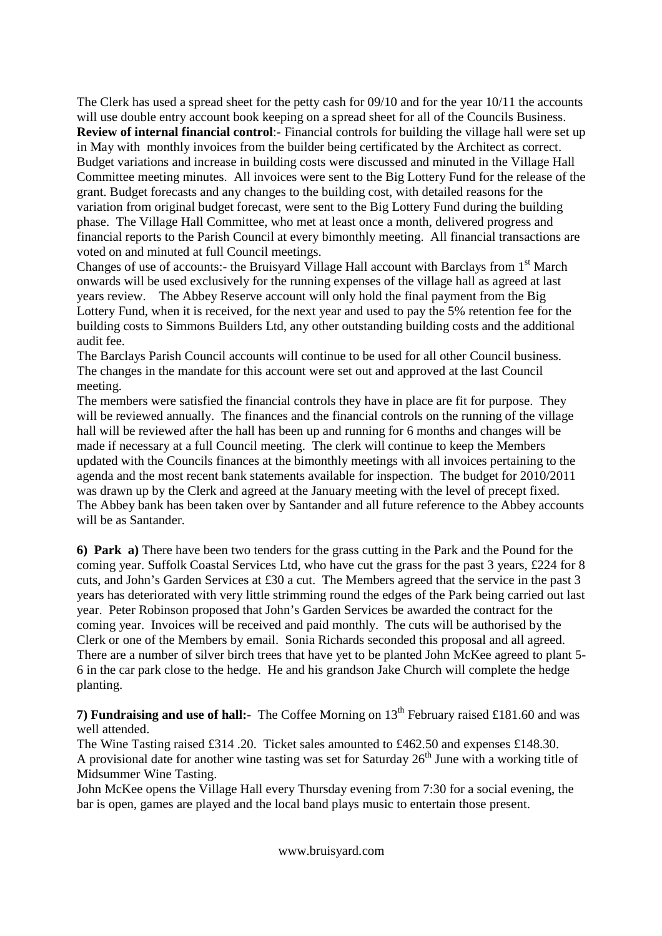The Clerk has used a spread sheet for the petty cash for 09/10 and for the year 10/11 the accounts will use double entry account book keeping on a spread sheet for all of the Councils Business. **Review of internal financial control**:- Financial controls for building the village hall were set up in May with monthly invoices from the builder being certificated by the Architect as correct. Budget variations and increase in building costs were discussed and minuted in the Village Hall Committee meeting minutes. All invoices were sent to the Big Lottery Fund for the release of the grant. Budget forecasts and any changes to the building cost, with detailed reasons for the variation from original budget forecast, were sent to the Big Lottery Fund during the building phase. The Village Hall Committee, who met at least once a month, delivered progress and financial reports to the Parish Council at every bimonthly meeting. All financial transactions are voted on and minuted at full Council meetings.

Changes of use of accounts:- the Bruisyard Village Hall account with Barclays from 1<sup>st</sup> March onwards will be used exclusively for the running expenses of the village hall as agreed at last years review. The Abbey Reserve account will only hold the final payment from the Big Lottery Fund, when it is received, for the next year and used to pay the 5% retention fee for the building costs to Simmons Builders Ltd, any other outstanding building costs and the additional audit fee.

The Barclays Parish Council accounts will continue to be used for all other Council business. The changes in the mandate for this account were set out and approved at the last Council meeting.

The members were satisfied the financial controls they have in place are fit for purpose. They will be reviewed annually. The finances and the financial controls on the running of the village hall will be reviewed after the hall has been up and running for 6 months and changes will be made if necessary at a full Council meeting. The clerk will continue to keep the Members updated with the Councils finances at the bimonthly meetings with all invoices pertaining to the agenda and the most recent bank statements available for inspection. The budget for 2010/2011 was drawn up by the Clerk and agreed at the January meeting with the level of precept fixed. The Abbey bank has been taken over by Santander and all future reference to the Abbey accounts will be as Santander.

**6) Park a)** There have been two tenders for the grass cutting in the Park and the Pound for the coming year. Suffolk Coastal Services Ltd, who have cut the grass for the past 3 years, £224 for 8 cuts, and John's Garden Services at £30 a cut. The Members agreed that the service in the past 3 years has deteriorated with very little strimming round the edges of the Park being carried out last year.Peter Robinson proposed that John's Garden Services be awarded the contract for the coming year. Invoices will be received and paid monthly. The cuts will be authorised by the Clerk or one of the Members by email. Sonia Richards seconded this proposal and all agreed. There are a number of silver birch trees that have yet to be planted John McKee agreed to plant 5- 6 in the car park close to the hedge. He and his grandson Jake Church will complete the hedge planting.

**7) Fundraising and use of hall:-** The Coffee Morning on 13<sup>th</sup> February raised £181.60 and was well attended.

The Wine Tasting raised £314 .20. Ticket sales amounted to £462.50 and expenses £148.30. A provisional date for another wine tasting was set for Saturday  $26<sup>th</sup>$  June with a working title of Midsummer Wine Tasting.

John McKee opens the Village Hall every Thursday evening from 7:30 for a social evening, the bar is open, games are played and the local band plays music to entertain those present.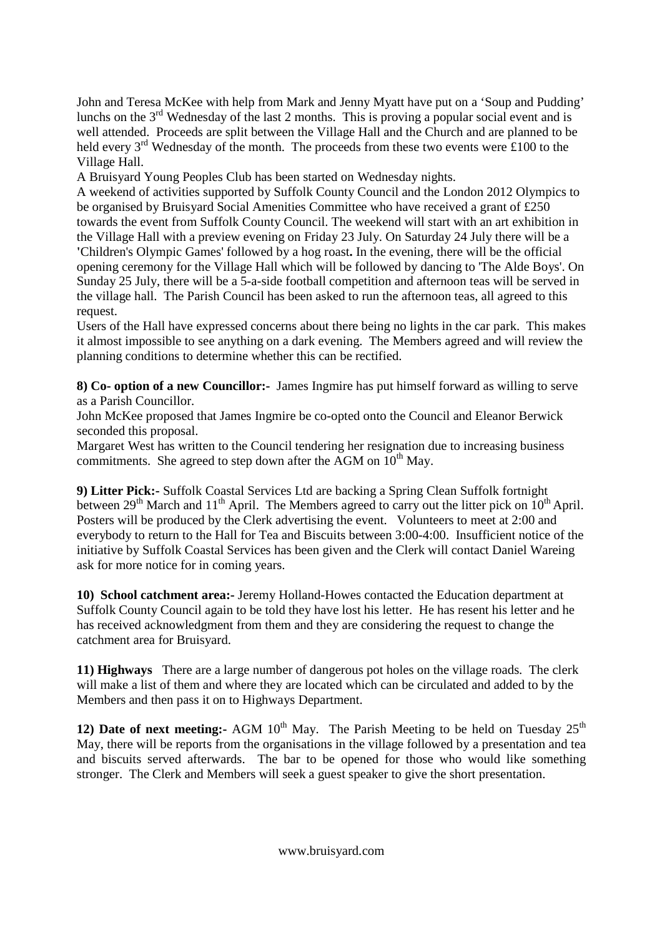John and Teresa McKee with help from Mark and Jenny Myatt have put on a 'Soup and Pudding' lunchs on the  $3<sup>rd</sup>$  Wednesday of the last 2 months. This is proving a popular social event and is well attended. Proceeds are split between the Village Hall and the Church and are planned to be held every  $3<sup>rd</sup>$  Wednesday of the month. The proceeds from these two events were £100 to the Village Hall.

A Bruisyard Young Peoples Club has been started on Wednesday nights.

A weekend of activities supported by Suffolk County Council and the London 2012 Olympics to be organised by Bruisyard Social Amenities Committee who have received a grant of £250 towards the event from Suffolk County Council. The weekend will start with an art exhibition in the Village Hall with a preview evening on Friday 23 July. On Saturday 24 July there will be a **'**Children's Olympic Games' followed by a hog roast**.** In the evening, there will be the official opening ceremony for the Village Hall which will be followed by dancing to 'The Alde Boys'. On Sunday 25 July, there will be a 5-a-side football competition and afternoon teas will be served in the village hall. The Parish Council has been asked to run the afternoon teas, all agreed to this request.

Users of the Hall have expressed concerns about there being no lights in the car park. This makes it almost impossible to see anything on a dark evening. The Members agreed and will review the planning conditions to determine whether this can be rectified.

**8) Co- option of a new Councillor:-** James Ingmire has put himself forward as willing to serve as a Parish Councillor.

John McKee proposed that James Ingmire be co-opted onto the Council and Eleanor Berwick seconded this proposal.

Margaret West has written to the Council tendering her resignation due to increasing business commitments. She agreed to step down after the AGM on  $10^{th}$  May.

**9) Litter Pick:-** Suffolk Coastal Services Ltd are backing a Spring Clean Suffolk fortnight between  $29<sup>th</sup>$  March and  $11<sup>th</sup>$  April. The Members agreed to carry out the litter pick on  $10<sup>th</sup>$  April. Posters will be produced by the Clerk advertising the event. Volunteers to meet at 2:00 and everybody to return to the Hall for Tea and Biscuits between 3:00-4:00. Insufficient notice of the initiative by Suffolk Coastal Services has been given and the Clerk will contact Daniel Wareing ask for more notice for in coming years.

**10) School catchment area:-** Jeremy Holland-Howes contacted the Education department at Suffolk County Council again to be told they have lost his letter. He has resent his letter and he has received acknowledgment from them and they are considering the request to change the catchment area for Bruisyard.

**11) Highways** There are a large number of dangerous pot holes on the village roads. The clerk will make a list of them and where they are located which can be circulated and added to by the Members and then pass it on to Highways Department.

**12) Date of next meeting:** AGM  $10^{th}$  May. The Parish Meeting to be held on Tuesday  $25^{th}$ May, there will be reports from the organisations in the village followed by a presentation and tea and biscuits served afterwards. The bar to be opened for those who would like something stronger. The Clerk and Members will seek a guest speaker to give the short presentation.